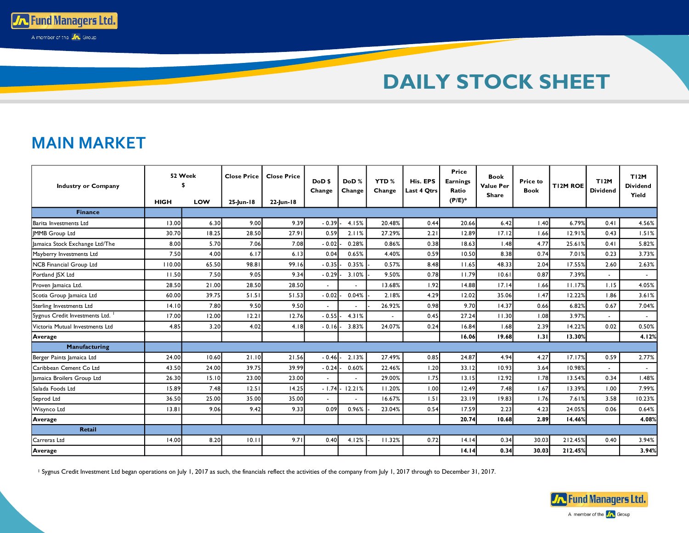

## **MAIN MARKET**

**MAIN MARKET**

**To Fund Managers Ltd.** A member of the **JA** Group

| <b>Industry or Company</b>      |             | 52 Week | <b>Close Price</b> | <b>Close Price</b> | DoD <sub>\$</sub><br>Change | DoD%<br>Change | <b>YTD %</b><br>Change | His. EPS<br>Last 4 Otrs | Price<br><b>Earnings</b><br>Ratio | <b>Book</b><br><b>Value Per</b><br><b>Share</b> | <b>Price to</b><br><b>Book</b> | TI2M ROE | TI2M<br><b>Dividend</b> | TI2M<br><b>Dividend</b><br>Yield |
|---------------------------------|-------------|---------|--------------------|--------------------|-----------------------------|----------------|------------------------|-------------------------|-----------------------------------|-------------------------------------------------|--------------------------------|----------|-------------------------|----------------------------------|
|                                 | <b>HIGH</b> | LOW     | 25-lun-18          | 22-lun-18          |                             |                |                        |                         | $(P/E)^*$                         |                                                 |                                |          |                         |                                  |
| <b>Finance</b>                  |             |         |                    |                    |                             |                |                        |                         |                                   |                                                 |                                |          |                         |                                  |
| Barita Investments Ltd          | 13.00       | 6.30    | 9.00               | 9.39               | $-0.39$                     | 4.15%          | 20.48%                 | 0.44                    | 20.66                             | 6.42                                            | 1.40                           | 6.79%    | 0.41                    | 4.56%                            |
| <b>IMMB</b> Group Ltd           | 30.70       | 18.25   | 28.50              | 27.91              | 0.59                        | 2.11%          | 27.29%                 | 2.21                    | 12.89                             | 17.12                                           | 1.66                           | 12.91%   | 0.43                    | 1.51%                            |
| lamaica Stock Exchange Ltd/The  | 8.00        | 5.70    | 7.06               | 7.08               | $-0.02$                     | 0.28%          | 0.86%                  | 0.38                    | 18.63                             | 1.48                                            | 4.77                           | 25.61%   | 0.41                    | 5.82%                            |
| Mayberry Investments Ltd        | 7.50        | 4.00    | 6.17               | 6.13               | 0.04                        | 0.65%          | 4.40%                  | 0.59                    | 10.50                             | 8.38                                            | 0.74                           | 7.01%    | 0.23                    | 3.73%                            |
| <b>NCB Financial Group Ltd</b>  | 110.00      | 65.50   | 98.81              | 99.16              | $-0.35$                     | 0.35%          | 0.57%                  | 8.48                    | 11.65                             | 48.33                                           | 2.04                           | 17.55%   | 2.60                    | 2.63%                            |
| Portland JSX Ltd                | 11.50       | 7.50    | 9.05               | 9.34               | $-0.29$                     | 3.10%          | 9.50%                  | 0.78                    | 11.79                             | 10.61                                           | 0.87                           | 7.39%    | $\sim$                  | $\sim$                           |
| Proven Jamaica Ltd.             | 28.50       | 21.00   | 28.50              | 28.50              |                             |                | 13.68%                 | 1.92                    | 14.88                             | 17.14                                           | 1.66                           | 11.17%   | 1.15                    | 4.05%                            |
| Scotia Group Jamaica Ltd        | 60.00       | 39.75   | 51.51              | 51.53              | $-0.02$                     | 0.04%          | 2.18%                  | 4.29                    | 12.02                             | 35.06                                           | 1.47                           | 12.22%   | 1.86                    | 3.61%                            |
| Sterling Investments Ltd        | 14.10       | 7.80    | 9.50               | 9.50               | $\sim$                      |                | 26.92%                 | 0.98                    | 9.70                              | 14.37                                           | 0.66                           | 6.82%    | 0.67                    | 7.04%                            |
| Sygnus Credit Investments Ltd.  | 17.00       | 12.00   | 12.21              | 12.76              | $-0.55$                     | 4.31%          |                        | 0.45                    | 27.24                             | 11.30                                           | 1.08                           | 3.97%    |                         | $\sim$                           |
| Victoria Mutual Investments Ltd | 4.85        | 3.20    | 4.02               | 4.18               | $-0.16$                     | 3.83%          | 24.07%                 | 0.24                    | 16.84                             | 1.68                                            | 2.39                           | 14.22%   | 0.02                    | 0.50%                            |
| Average                         |             |         |                    |                    |                             |                |                        |                         | 16.06                             | 19.68                                           | 1.31                           | 13.30%   |                         | 4.12%                            |
| Manufacturing                   |             |         |                    |                    |                             |                |                        |                         |                                   |                                                 |                                |          |                         |                                  |
| Berger Paints Jamaica Ltd       | 24.00       | 10.60   | 21.10              | 21.56              | $-0.46$                     | 2.13%          | 27.49%                 | 0.85                    | 24.87                             | 4.94                                            | 4.27                           | 17.17%   | 0.59                    | 2.77%                            |
| Caribbean Cement Co Ltd         | 43.50       | 24.00   | 39.75              | 39.99              | $-0.24$                     | 0.60%          | 22.46%                 | 1.20                    | 33.12                             | 10.93                                           | 3.64                           | 10.98%   | $\sim$                  | $\sim$                           |
| lamaica Broilers Group Ltd      | 26.30       | 15.10   | 23.00              | 23.00              |                             |                | 29.00%                 | 1.75                    | 13.15                             | 12.92                                           | 1.78                           | 13.54%   | 0.34                    | 1.48%                            |
| Salada Foods Ltd                | 15.89       | 7.48    | 12.51              | 14.25              | $-1.74$                     | 12.21%         | 11.20%                 | 1.00                    | 12.49                             | 7.48                                            | 1.67                           | 13.39%   | 1.00                    | 7.99%                            |
| Seprod Ltd                      | 36.50       | 25.00   | 35.00              | 35.00              | $\sim$                      |                | 16.67%                 | 1.51                    | 23.19                             | 19.83                                           | 1.76                           | 7.61%    | 3.58                    | 10.23%                           |
| Wisynco Ltd                     | 13.81       | 9.06    | 9.42               | 9.33               | 0.09                        | 0.96%          | 23.04%                 | 0.54                    | 17.59                             | 2.23                                            | 4.23                           | 24.05%   | 0.06                    | 0.64%                            |
| Average                         |             |         |                    |                    |                             |                |                        |                         | 20.74                             | 10.68                                           | 2.89                           | 14.46%   |                         | 4.08%                            |
| Retail                          |             |         |                    |                    |                             |                |                        |                         |                                   |                                                 |                                |          |                         |                                  |
| Carreras Ltd                    | 14.00       | 8.20    | 10.11              | 9.71               | 0.40                        | 4.12%          | 11.32%                 | 0.72                    | 14.14                             | 0.34                                            | 30.03                          | 212.45%  | 0.40                    | 3.94%                            |
| Average                         |             |         |                    |                    |                             |                |                        |                         | 14.14                             | 0.34                                            | 30.03                          | 212.45%  |                         | 3.94%                            |

<sup>1</sup> Sygnus Credit Investment Ltd began operations on July 1, 2017 as such, the financials reflect the activities of the company from July 1, 2017 through to December 31, 2017.

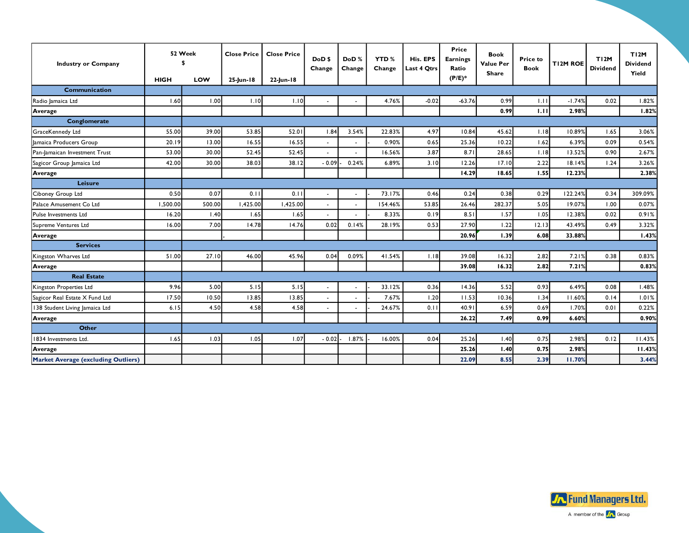| <b>Industry or Company</b>                 |             | 52 Week | <b>Close Price</b> | <b>Close Price</b> | DoD <sub>\$</sub><br>Change | DoD%<br>Change | <b>YTD%</b><br>Change | His. EPS<br>Last 4 Qtrs | Price<br><b>Earnings</b><br>Ratio | <b>Book</b><br><b>Value Per</b><br>Share | <b>Price to</b><br><b>Book</b> | T12M ROE | TI2M<br><b>Dividend</b> | TI2M<br><b>Dividend</b><br>Yield |
|--------------------------------------------|-------------|---------|--------------------|--------------------|-----------------------------|----------------|-----------------------|-------------------------|-----------------------------------|------------------------------------------|--------------------------------|----------|-------------------------|----------------------------------|
|                                            | <b>HIGH</b> | LOW     | 25-lun-18          | 22-Jun-18          |                             |                |                       |                         | $(P/E)^*$                         |                                          |                                |          |                         |                                  |
| <b>Communication</b>                       |             |         |                    |                    |                             |                |                       |                         |                                   |                                          |                                |          |                         |                                  |
| Radio Jamaica Ltd                          | 1.60        | 1.00    | 1.10               | 1.10               |                             |                | 4.76%                 | $-0.02$                 | $-63.76$                          | 0.99                                     | 1.11                           | $-1.74%$ | 0.02                    | 1.82%                            |
| Average                                    |             |         |                    |                    |                             |                |                       |                         |                                   | 0.99                                     | 1.11                           | 2.98%    |                         | 1.82%                            |
| Conglomerate                               |             |         |                    |                    |                             |                |                       |                         |                                   |                                          |                                |          |                         |                                  |
| GraceKennedy Ltd                           | 55.00       | 39.00   | 53.85              | 52.01              | 1.84                        | 3.54%          | 22.83%                | 4.97                    | 10.84                             | 45.62                                    | 1.18                           | 10.89%   | 1.65                    | 3.06%                            |
| Jamaica Producers Group                    | 20.19       | 13.00   | 16.55              | 16.55              |                             |                | 0.90%                 | 0.65                    | 25.36                             | 10.22                                    | 1.62                           | 6.39%    | 0.09                    | 0.54%                            |
| Pan-lamaican Investment Trust              | 53.00       | 30.00   | 52.45              | 52.45              | ÷.                          |                | 16.56%                | 3.87                    | 8.71                              | 28.65                                    | 1.18                           | 13.52%   | 0.90                    | 2.67%                            |
| Sagicor Group Jamaica Ltd                  | 42.00       | 30.00   | 38.03              | 38.12              | $-0.09$                     | 0.24%          | 6.89%                 | 3.10                    | 12.26                             | 17.10                                    | 2.22                           | 18.14%   | 1.24                    | 3.26%                            |
| Average                                    |             |         |                    |                    |                             |                |                       |                         | 14.29                             | 18.65                                    | 1.55                           | 12.23%   |                         | 2.38%                            |
| Leisure                                    |             |         |                    |                    |                             |                |                       |                         |                                   |                                          |                                |          |                         |                                  |
| Ciboney Group Ltd                          | 0.50        | 0.07    | 0.1                | 0.1                | $\tilde{\phantom{a}}$       |                | 73.17%                | 0.46                    | 0.24                              | 0.38                                     | 0.29                           | 122.24%  | 0.34                    | 309.09%                          |
| Palace Amusement Co Ltd                    | 1,500.00    | 500.00  | 1,425.00           | 1,425.00           | ÷,                          |                | 154.46%               | 53.85                   | 26.46                             | 282.37                                   | 5.05                           | 19.07%   | 1.00                    | 0.07%                            |
| Pulse Investments Ltd                      | 16.20       | 1.40    | 1.65               | 1.65               |                             |                | 8.33%                 | 0.19                    | 8.51                              | 1.57                                     | 1.05                           | 12.38%   | 0.02                    | 0.91%                            |
| Supreme Ventures Ltd                       | 16.00       | 7.00    | 14.78              | 14.76              | 0.02                        | 0.14%          | 28.19%                | 0.53                    | 27.90                             | 1.22                                     | 12.13                          | 43.49%   | 0.49                    | 3.32%                            |
| Average                                    |             |         |                    |                    |                             |                |                       |                         | 20.96                             | 1.39                                     | 6.08                           | 33.88%   |                         | 1.43%                            |
| <b>Services</b>                            |             |         |                    |                    |                             |                |                       |                         |                                   |                                          |                                |          |                         |                                  |
| Kingston Wharves Ltd                       | 51.00       | 27.10   | 46.00              | 45.96              | 0.04                        | 0.09%          | 41.54%                | 1.18                    | 39.08                             | 16.32                                    | 2.82                           | 7.21%    | 0.38                    | 0.83%                            |
| Average                                    |             |         |                    |                    |                             |                |                       |                         | 39.08                             | 16.32                                    | 2.82                           | 7.21%    |                         | 0.83%                            |
| <b>Real Estate</b>                         |             |         |                    |                    |                             |                |                       |                         |                                   |                                          |                                |          |                         |                                  |
| Kingston Properties Ltd                    | 9.96        | 5.00    | 5.15               | 5.15               |                             |                | 33.12%                | 0.36                    | 14.36                             | 5.52                                     | 0.93                           | 6.49%    | 0.08                    | 1.48%                            |
| Sagicor Real Estate X Fund Ltd             | 17.50       | 10.50   | 13.85              | 13.85              | $\blacksquare$              |                | 7.67%                 | 1.20                    | 11.53                             | 10.36                                    | 1.34                           | 11.60%   | 0.14                    | 1.01%                            |
| 138 Student Living Jamaica Ltd             | 6.15        | 4.50    | 4.58               | 4.58               |                             |                | 24.67%                | 0.11                    | 40.91                             | 6.59                                     | 0.69                           | 1.70%    | 0.01                    | 0.22%                            |
| Average                                    |             |         |                    |                    |                             |                |                       |                         | 26.22                             | 7.49                                     | 0.99                           | 6.60%    |                         | 0.90%                            |
| <b>Other</b>                               |             |         |                    |                    |                             |                |                       |                         |                                   |                                          |                                |          |                         |                                  |
| 1834 Investments Ltd.                      | 1.65        | 1.03    | 1.05               | 1.07               | $-0.02$                     | 1.87%          | 16.00%                | 0.04                    | 25.26                             | 1.40                                     | 0.75                           | 2.98%    | 0.12                    | 11.43%                           |
| Average                                    |             |         |                    |                    |                             |                |                       |                         | 25.26                             | 1.40                                     | 0.75                           | 2.98%    |                         | 11.43%                           |
| <b>Market Average (excluding Outliers)</b> |             |         |                    |                    |                             |                |                       |                         | 22.09                             | 8.55                                     | 2.39                           | 11.70%   |                         | 3.44%                            |

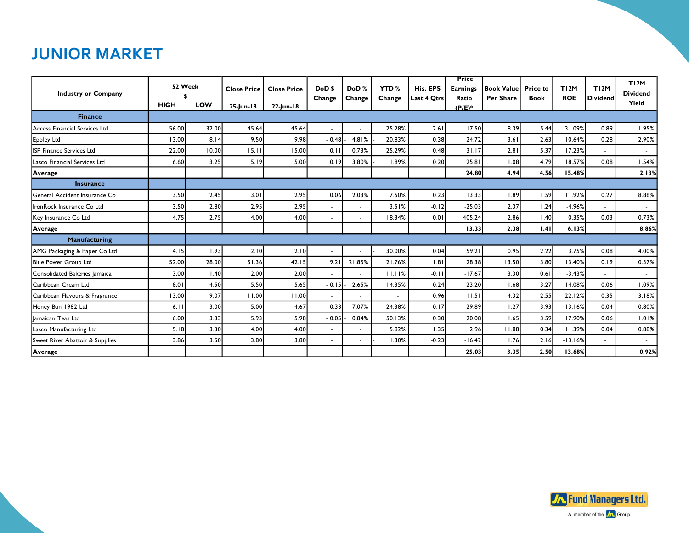## **JUNIOR MARKET**

| <b>Industry or Company</b>      | 52 Week     |       | <b>Close Price</b> | <b>Close Price</b> | DoD <sub>\$</sub>        | DoD%                     | <b>YTD%</b> | His. EPS    | <b>Price</b><br><b>Earnings</b> | <b>Book Value</b> | <b>Price to</b> | TI2M       | TI2M            | TI2M<br><b>Dividend</b> |
|---------------------------------|-------------|-------|--------------------|--------------------|--------------------------|--------------------------|-------------|-------------|---------------------------------|-------------------|-----------------|------------|-----------------|-------------------------|
|                                 | <b>HIGH</b> | LOW   | 25-Jun-18          | 22-Jun-18          | Change                   | Change                   | Change      | Last 4 Qtrs | Ratio<br>$(P/E)^*$              | <b>Per Share</b>  | <b>Book</b>     | <b>ROE</b> | <b>Dividend</b> | Yield                   |
| <b>Finance</b>                  |             |       |                    |                    |                          |                          |             |             |                                 |                   |                 |            |                 |                         |
| Access Financial Services Ltd   | 56.00       | 32.00 | 45.64              | 45.64              | $\overline{a}$           |                          | 25.28%      | 2.61        | 17.50                           | 8.39              | 5.44            | 31.09%     | 0.89            | 1.95%                   |
| Eppley Ltd                      | 13.00       | 8.14  | 9.50               | 9.98               | $-0.48$                  | 4.81%                    | 20.83%      | 0.38        | 24.72                           | 3.61              | 2.63            | 10.64%     | 0.28            | 2.90%                   |
| ISP Finance Services Ltd        | 22.00       | 10.00 | 15.1               | 15.00              | 0.11                     | 0.73%                    | 25.29%      | 0.48        | 31.17                           | 2.81              | 5.37            | 17.23%     |                 | $\sim$                  |
| Lasco Financial Services Ltd    | 6.60        | 3.25  | 5.19               | 5.00               | 0.19                     | 3.80%                    | 1.89%       | 0.20        | 25.81                           | 1.08              | 4.79            | 18.57%     | 0.08            | 1.54%                   |
| Average                         |             |       |                    |                    |                          |                          |             |             | 24.80                           | 4.94              | 4.56            | 15.48%     |                 | 2.13%                   |
| <b>Insurance</b>                |             |       |                    |                    |                          |                          |             |             |                                 |                   |                 |            |                 |                         |
| General Accident Insurance Co   | 3.50        | 2.45  | 3.01               | 2.95               | 0.06                     | 2.03%                    | 7.50%       | 0.23        | 13.33                           | 1.89              | 1.59            | 11.92%     | 0.27            | 8.86%                   |
| IronRock Insurance Co Ltd       | 3.50        | 2.80  | 2.95               | 2.95               | $\overline{\phantom{0}}$ | $\blacksquare$           | 3.51%       | $-0.12$     | $-25.03$                        | 2.37              | 1.24            | $-4.96%$   | $\overline{a}$  | $\sim$                  |
| Key Insurance Co Ltd            | 4.75        | 2.75  | 4.00               | 4.00               | ٠                        |                          | 18.34%      | 0.01        | 405.24                          | 2.86              | 1.40            | 0.35%      | 0.03            | 0.73%                   |
| Average                         |             |       |                    |                    |                          |                          |             |             | 13.33                           | 2.38              | 1.41            | 6.13%      |                 | 8.86%                   |
| Manufacturing                   |             |       |                    |                    |                          |                          |             |             |                                 |                   |                 |            |                 |                         |
| AMG Packaging & Paper Co Ltd    | 4.15        | 1.93  | 2.10               | 2.10               | $\sim$                   | $\overline{\phantom{a}}$ | 30.00%      | 0.04        | 59.21                           | 0.95              | 2.22            | 3.75%      | 0.08            | 4.00%                   |
| Blue Power Group Ltd            | 52.00       | 28.00 | 51.36              | 42.15              | 9.2                      | 21.85%                   | 21.76%      | 1.81        | 28.38                           | 13.50             | 3.80            | 13.40%     | 0.19            | 0.37%                   |
| Consolidated Bakeries Jamaica   | 3.00        | 1.40  | 2.00               | 2.00               | $\blacksquare$           | $\blacksquare$           | 11.11%      | $-0.11$     | $-17.67$                        | 3.30              | 0.61            | $-3.43%$   | $\blacksquare$  | $\sim$                  |
| Caribbean Cream Ltd             | 8.01        | 4.50  | 5.50               | 5.65               | $-0.15$                  | 2.65%                    | 14.35%      | 0.24        | 23.20                           | 1.68              | 3.27            | 14.08%     | 0.06            | 1.09%                   |
| Caribbean Flavours & Fragrance  | 13.00       | 9.07  | 11.00              | 11.00              | $\overline{\phantom{0}}$ | $\blacksquare$           |             | 0.96        | 11.51                           | 4.32              | 2.55            | 22.12%     | 0.35            | 3.18%                   |
| Honey Bun 1982 Ltd              | 6.11        | 3.00  | 5.00               | 4.67               | 0.33                     | 7.07%                    | 24.38%      | 0.17        | 29.89                           | 1.27              | 3.93            | 13.16%     | 0.04            | 0.80%                   |
| Jamaican Teas Ltd               | 6.00        | 3.33  | 5.93               | 5.98               | $-0.05$                  | 0.84%                    | 50.13%      | 0.30        | 20.08                           | 1.65              | 3.59            | 17.90%     | 0.06            | 1.01%                   |
| Lasco Manufacturing Ltd         | 5.18        | 3.30  | 4.00               | 4.00               | ٠                        | $\blacksquare$           | 5.82%       | 1.35        | 2.96                            | 11.88             | 0.34            | 11.39%     | 0.04            | 0.88%                   |
| Sweet River Abattoir & Supplies | 3.86        | 3.50  | 3.80               | 3.80               | ٠                        |                          | 1.30%       | $-0.23$     | $-16.42$                        | 1.76              | 2.16            | $-13.16%$  | $\blacksquare$  | $\sim$                  |
| Average                         |             |       |                    |                    |                          |                          |             |             | 25.03                           | 3.35              | 2.50            | 13.68%     |                 | 0.92%                   |